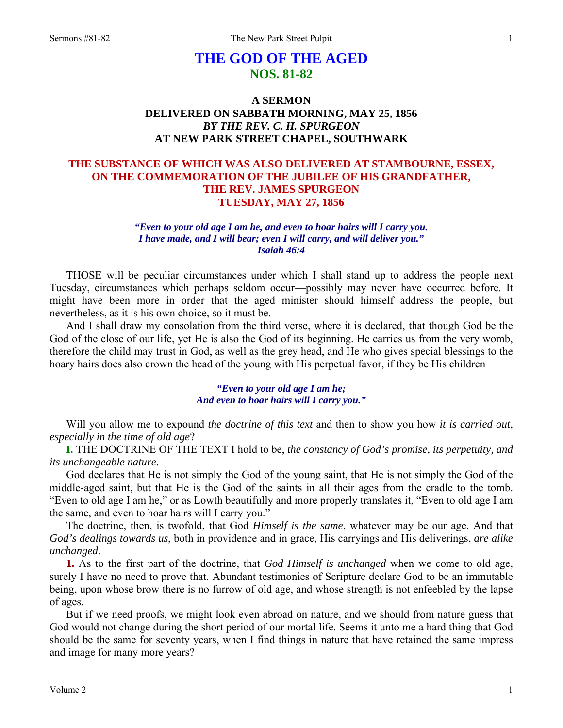# **THE GOD OF THE AGED NOS. 81-82**

## **A SERMON DELIVERED ON SABBATH MORNING, MAY 25, 1856**  *BY THE REV. C. H. SPURGEON*  **AT NEW PARK STREET CHAPEL, SOUTHWARK**

## **THE SUBSTANCE OF WHICH WAS ALSO DELIVERED AT STAMBOURNE, ESSEX, ON THE COMMEMORATION OF THE JUBILEE OF HIS GRANDFATHER, THE REV. JAMES SPURGEON TUESDAY, MAY 27, 1856**

## *"Even to your old age I am he, and even to hoar hairs will I carry you. I have made, and I will bear; even I will carry, and will deliver you." Isaiah 46:4*

THOSE will be peculiar circumstances under which I shall stand up to address the people next Tuesday, circumstances which perhaps seldom occur—possibly may never have occurred before. It might have been more in order that the aged minister should himself address the people, but nevertheless, as it is his own choice, so it must be.

And I shall draw my consolation from the third verse, where it is declared, that though God be the God of the close of our life, yet He is also the God of its beginning. He carries us from the very womb, therefore the child may trust in God, as well as the grey head, and He who gives special blessings to the hoary hairs does also crown the head of the young with His perpetual favor, if they be His children

> *"Even to your old age I am he; And even to hoar hairs will I carry you."*

Will you allow me to expound *the doctrine of this text* and then to show you how *it is carried out, especially in the time of old age*?

**I.** THE DOCTRINE OF THE TEXT I hold to be, *the constancy of God's promise, its perpetuity, and its unchangeable nature*.

God declares that He is not simply the God of the young saint, that He is not simply the God of the middle-aged saint, but that He is the God of the saints in all their ages from the cradle to the tomb. "Even to old age I am he," or as Lowth beautifully and more properly translates it, "Even to old age I am the same, and even to hoar hairs will I carry you."

The doctrine, then, is twofold, that God *Himself is the same*, whatever may be our age. And that *God's dealings towards us*, both in providence and in grace, His carryings and His deliverings, *are alike unchanged*.

**1.** As to the first part of the doctrine, that *God Himself is unchanged* when we come to old age, surely I have no need to prove that. Abundant testimonies of Scripture declare God to be an immutable being, upon whose brow there is no furrow of old age, and whose strength is not enfeebled by the lapse of ages.

But if we need proofs, we might look even abroad on nature, and we should from nature guess that God would not change during the short period of our mortal life. Seems it unto me a hard thing that God should be the same for seventy years, when I find things in nature that have retained the same impress and image for many more years?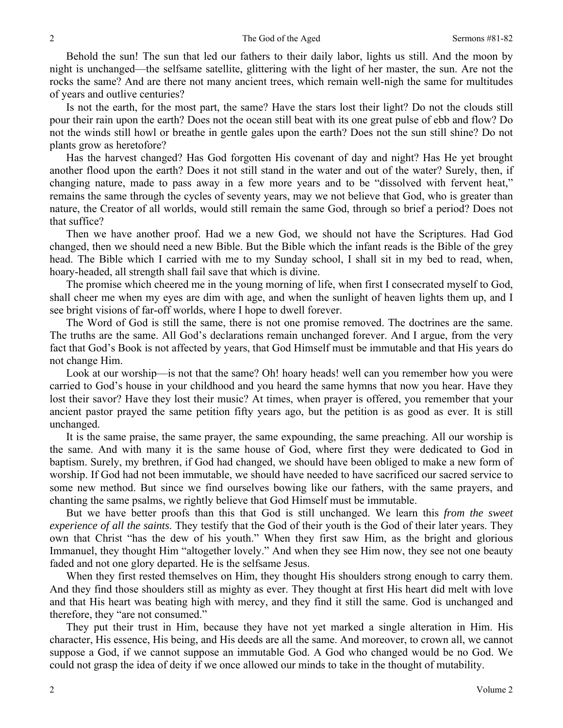Behold the sun! The sun that led our fathers to their daily labor, lights us still. And the moon by night is unchanged—the selfsame satellite, glittering with the light of her master, the sun. Are not the rocks the same? And are there not many ancient trees, which remain well-nigh the same for multitudes of years and outlive centuries?

Is not the earth, for the most part, the same? Have the stars lost their light? Do not the clouds still pour their rain upon the earth? Does not the ocean still beat with its one great pulse of ebb and flow? Do not the winds still howl or breathe in gentle gales upon the earth? Does not the sun still shine? Do not plants grow as heretofore?

Has the harvest changed? Has God forgotten His covenant of day and night? Has He yet brought another flood upon the earth? Does it not still stand in the water and out of the water? Surely, then, if changing nature, made to pass away in a few more years and to be "dissolved with fervent heat," remains the same through the cycles of seventy years, may we not believe that God, who is greater than nature, the Creator of all worlds, would still remain the same God, through so brief a period? Does not that suffice?

Then we have another proof. Had we a new God, we should not have the Scriptures. Had God changed, then we should need a new Bible. But the Bible which the infant reads is the Bible of the grey head. The Bible which I carried with me to my Sunday school, I shall sit in my bed to read, when, hoary-headed, all strength shall fail save that which is divine.

The promise which cheered me in the young morning of life, when first I consecrated myself to God, shall cheer me when my eyes are dim with age, and when the sunlight of heaven lights them up, and I see bright visions of far-off worlds, where I hope to dwell forever.

The Word of God is still the same, there is not one promise removed. The doctrines are the same. The truths are the same. All God's declarations remain unchanged forever. And I argue, from the very fact that God's Book is not affected by years, that God Himself must be immutable and that His years do not change Him.

Look at our worship—is not that the same? Oh! hoary heads! well can you remember how you were carried to God's house in your childhood and you heard the same hymns that now you hear. Have they lost their savor? Have they lost their music? At times, when prayer is offered, you remember that your ancient pastor prayed the same petition fifty years ago, but the petition is as good as ever. It is still unchanged.

It is the same praise, the same prayer, the same expounding, the same preaching. All our worship is the same. And with many it is the same house of God, where first they were dedicated to God in baptism. Surely, my brethren, if God had changed, we should have been obliged to make a new form of worship. If God had not been immutable, we should have needed to have sacrificed our sacred service to some new method. But since we find ourselves bowing like our fathers, with the same prayers, and chanting the same psalms, we rightly believe that God Himself must be immutable.

But we have better proofs than this that God is still unchanged. We learn this *from the sweet experience of all the saints*. They testify that the God of their youth is the God of their later years. They own that Christ "has the dew of his youth." When they first saw Him, as the bright and glorious Immanuel, they thought Him "altogether lovely." And when they see Him now, they see not one beauty faded and not one glory departed. He is the selfsame Jesus.

When they first rested themselves on Him, they thought His shoulders strong enough to carry them. And they find those shoulders still as mighty as ever. They thought at first His heart did melt with love and that His heart was beating high with mercy, and they find it still the same. God is unchanged and therefore, they "are not consumed."

They put their trust in Him, because they have not yet marked a single alteration in Him. His character, His essence, His being, and His deeds are all the same. And moreover, to crown all, we cannot suppose a God, if we cannot suppose an immutable God. A God who changed would be no God. We could not grasp the idea of deity if we once allowed our minds to take in the thought of mutability.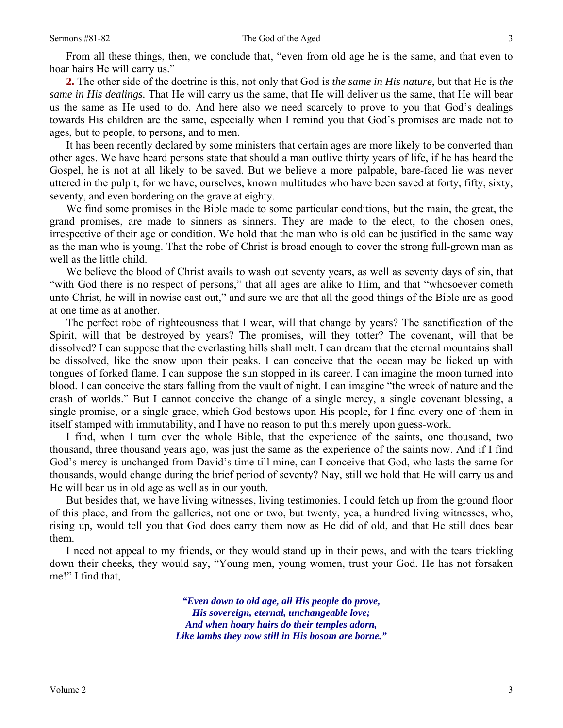From all these things, then, we conclude that, "even from old age he is the same, and that even to hoar hairs He will carry us."

**2.** The other side of the doctrine is this, not only that God is *the same in His nature*, but that He is *the same in His dealings.* That He will carry us the same, that He will deliver us the same, that He will bear us the same as He used to do. And here also we need scarcely to prove to you that God's dealings towards His children are the same, especially when I remind you that God's promises are made not to ages, but to people, to persons, and to men.

It has been recently declared by some ministers that certain ages are more likely to be converted than other ages. We have heard persons state that should a man outlive thirty years of life, if he has heard the Gospel, he is not at all likely to be saved. But we believe a more palpable, bare-faced lie was never uttered in the pulpit, for we have, ourselves, known multitudes who have been saved at forty, fifty, sixty, seventy, and even bordering on the grave at eighty.

We find some promises in the Bible made to some particular conditions, but the main, the great, the grand promises, are made to sinners as sinners. They are made to the elect, to the chosen ones, irrespective of their age or condition. We hold that the man who is old can be justified in the same way as the man who is young. That the robe of Christ is broad enough to cover the strong full-grown man as well as the little child.

We believe the blood of Christ avails to wash out seventy years, as well as seventy days of sin, that "with God there is no respect of persons," that all ages are alike to Him, and that "whosoever cometh unto Christ, he will in nowise cast out," and sure we are that all the good things of the Bible are as good at one time as at another.

The perfect robe of righteousness that I wear, will that change by years? The sanctification of the Spirit, will that be destroyed by years? The promises, will they totter? The covenant, will that be dissolved? I can suppose that the everlasting hills shall melt. I can dream that the eternal mountains shall be dissolved, like the snow upon their peaks. I can conceive that the ocean may be licked up with tongues of forked flame. I can suppose the sun stopped in its career. I can imagine the moon turned into blood. I can conceive the stars falling from the vault of night. I can imagine "the wreck of nature and the crash of worlds." But I cannot conceive the change of a single mercy, a single covenant blessing, a single promise, or a single grace, which God bestows upon His people, for I find every one of them in itself stamped with immutability, and I have no reason to put this merely upon guess-work.

I find, when I turn over the whole Bible, that the experience of the saints, one thousand, two thousand, three thousand years ago, was just the same as the experience of the saints now. And if I find God's mercy is unchanged from David's time till mine, can I conceive that God, who lasts the same for thousands, would change during the brief period of seventy? Nay, still we hold that He will carry us and He will bear us in old age as well as in our youth.

But besides that, we have living witnesses, living testimonies. I could fetch up from the ground floor of this place, and from the galleries, not one or two, but twenty, yea, a hundred living witnesses, who, rising up, would tell you that God does carry them now as He did of old, and that He still does bear them.

I need not appeal to my friends, or they would stand up in their pews, and with the tears trickling down their cheeks, they would say, "Young men, young women, trust your God. He has not forsaken me!" I find that,

> *"Even down to old age, all His people* **do** *prove, His sovereign, eternal, unchangeable love; And when hoary hairs do their temples adorn, Like lambs they now still in His bosom are borne."*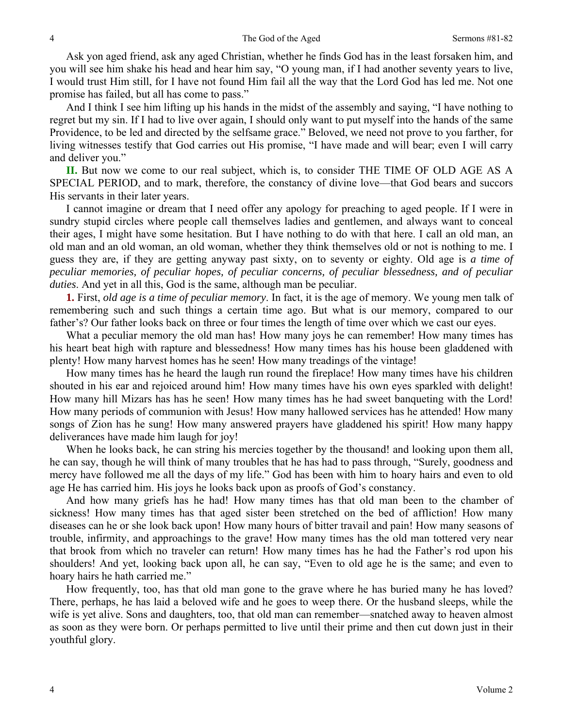Ask yon aged friend, ask any aged Christian, whether he finds God has in the least forsaken him, and you will see him shake his head and hear him say, "O young man, if I had another seventy years to live, I would trust Him still, for I have not found Him fail all the way that the Lord God has led me. Not one promise has failed, but all has come to pass."

And I think I see him lifting up his hands in the midst of the assembly and saying, "I have nothing to regret but my sin. If I had to live over again, I should only want to put myself into the hands of the same Providence, to be led and directed by the selfsame grace." Beloved, we need not prove to you farther, for living witnesses testify that God carries out His promise, "I have made and will bear; even I will carry and deliver you."

**II.** But now we come to our real subject, which is, to consider THE TIME OF OLD AGE AS A SPECIAL PERIOD, and to mark, therefore, the constancy of divine love—that God bears and succors His servants in their later years.

I cannot imagine or dream that I need offer any apology for preaching to aged people. If I were in sundry stupid circles where people call themselves ladies and gentlemen, and always want to conceal their ages, I might have some hesitation. But I have nothing to do with that here. I call an old man, an old man and an old woman, an old woman, whether they think themselves old or not is nothing to me. I guess they are, if they are getting anyway past sixty, on to seventy or eighty. Old age is *a time of peculiar memories, of peculiar hopes, of peculiar concerns, of peculiar blessedness, and of peculiar duties*. And yet in all this, God is the same, although man be peculiar.

**1.** First, *old age is a time of peculiar memory*. In fact, it is the age of memory. We young men talk of remembering such and such things a certain time ago. But what is our memory, compared to our father's? Our father looks back on three or four times the length of time over which we cast our eyes.

What a peculiar memory the old man has! How many joys he can remember! How many times has his heart beat high with rapture and blessedness! How many times has his house been gladdened with plenty! How many harvest homes has he seen! How many treadings of the vintage!

How many times has he heard the laugh run round the fireplace! How many times have his children shouted in his ear and rejoiced around him! How many times have his own eyes sparkled with delight! How many hill Mizars has has he seen! How many times has he had sweet banqueting with the Lord! How many periods of communion with Jesus! How many hallowed services has he attended! How many songs of Zion has he sung! How many answered prayers have gladdened his spirit! How many happy deliverances have made him laugh for joy!

When he looks back, he can string his mercies together by the thousand! and looking upon them all, he can say, though he will think of many troubles that he has had to pass through, "Surely, goodness and mercy have followed me all the days of my life." God has been with him to hoary hairs and even to old age He has carried him. His joys he looks back upon as proofs of God's constancy.

And how many griefs has he had! How many times has that old man been to the chamber of sickness! How many times has that aged sister been stretched on the bed of affliction! How many diseases can he or she look back upon! How many hours of bitter travail and pain! How many seasons of trouble, infirmity, and approachings to the grave! How many times has the old man tottered very near that brook from which no traveler can return! How many times has he had the Father's rod upon his shoulders! And yet, looking back upon all, he can say, "Even to old age he is the same; and even to hoary hairs he hath carried me."

How frequently, too, has that old man gone to the grave where he has buried many he has loved? There, perhaps, he has laid a beloved wife and he goes to weep there. Or the husband sleeps, while the wife is yet alive. Sons and daughters, too, that old man can remember—snatched away to heaven almost as soon as they were born. Or perhaps permitted to live until their prime and then cut down just in their youthful glory.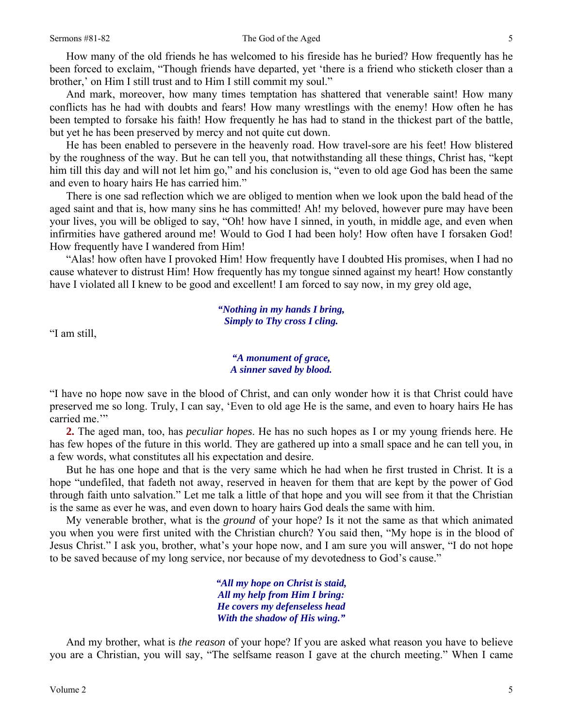#### Sermons #81-82 The God of the Aged

How many of the old friends he has welcomed to his fireside has he buried? How frequently has he been forced to exclaim, "Though friends have departed, yet 'there is a friend who sticketh closer than a brother,' on Him I still trust and to Him I still commit my soul."

And mark, moreover, how many times temptation has shattered that venerable saint! How many conflicts has he had with doubts and fears! How many wrestlings with the enemy! How often he has been tempted to forsake his faith! How frequently he has had to stand in the thickest part of the battle, but yet he has been preserved by mercy and not quite cut down.

He has been enabled to persevere in the heavenly road. How travel-sore are his feet! How blistered by the roughness of the way. But he can tell you, that notwithstanding all these things, Christ has, "kept him till this day and will not let him go," and his conclusion is, "even to old age God has been the same and even to hoary hairs He has carried him."

There is one sad reflection which we are obliged to mention when we look upon the bald head of the aged saint and that is, how many sins he has committed! Ah! my beloved, however pure may have been your lives, you will be obliged to say, "Oh! how have I sinned, in youth, in middle age, and even when infirmities have gathered around me! Would to God I had been holy! How often have I forsaken God! How frequently have I wandered from Him!

"Alas! how often have I provoked Him! How frequently have I doubted His promises, when I had no cause whatever to distrust Him! How frequently has my tongue sinned against my heart! How constantly have I violated all I knew to be good and excellent! I am forced to say now, in my grey old age,

> *"Nothing in my hands I bring, Simply to Thy cross I cling.*

"I am still,

### *"A monument of grace, A sinner saved by blood.*

"I have no hope now save in the blood of Christ, and can only wonder how it is that Christ could have preserved me so long. Truly, I can say, 'Even to old age He is the same, and even to hoary hairs He has carried me."

**2.** The aged man, too, has *peculiar hopes*. He has no such hopes as I or my young friends here. He has few hopes of the future in this world. They are gathered up into a small space and he can tell you, in a few words, what constitutes all his expectation and desire.

But he has one hope and that is the very same which he had when he first trusted in Christ. It is a hope "undefiled, that fadeth not away, reserved in heaven for them that are kept by the power of God through faith unto salvation." Let me talk a little of that hope and you will see from it that the Christian is the same as ever he was, and even down to hoary hairs God deals the same with him.

My venerable brother, what is the *ground* of your hope? Is it not the same as that which animated you when you were first united with the Christian church? You said then, "My hope is in the blood of Jesus Christ." I ask you, brother, what's your hope now, and I am sure you will answer, "I do not hope to be saved because of my long service, nor because of my devotedness to God's cause."

> *"All my hope on Christ is staid, All my help from Him I bring: He covers my defenseless head With the shadow of His wing."*

And my brother, what is *the reason* of your hope? If you are asked what reason you have to believe you are a Christian, you will say, "The selfsame reason I gave at the church meeting." When I came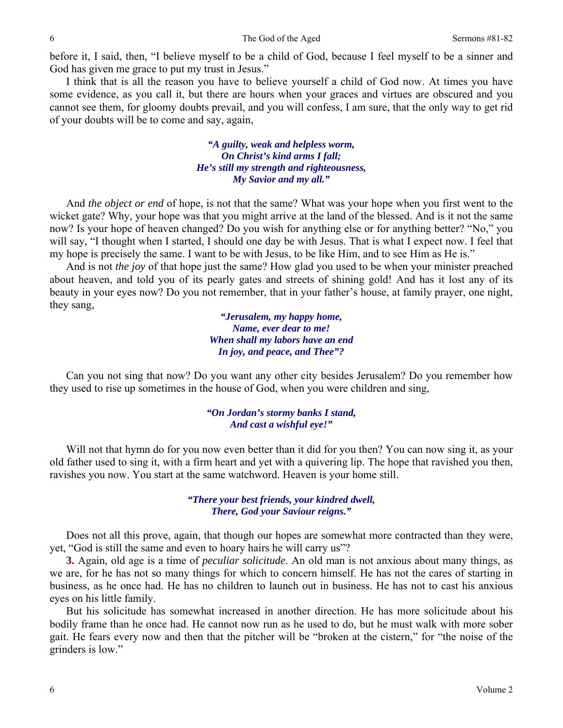before it, I said, then, "I believe myself to be a child of God, because I feel myself to be a sinner and God has given me grace to put my trust in Jesus."

I think that is all the reason you have to believe yourself a child of God now. At times you have some evidence, as you call it, but there are hours when your graces and virtues are obscured and you cannot see them, for gloomy doubts prevail, and you will confess, I am sure, that the only way to get rid of your doubts will be to come and say, again,

> *"A guilty, weak and helpless worm, On Christ's kind arms I fall; He's still my strength and righteousness, My Savior and my all."*

And *the object or end* of hope, is not that the same? What was your hope when you first went to the wicket gate? Why, your hope was that you might arrive at the land of the blessed. And is it not the same now? Is your hope of heaven changed? Do you wish for anything else or for anything better? "No," you will say, "I thought when I started, I should one day be with Jesus. That is what I expect now. I feel that my hope is precisely the same. I want to be with Jesus, to be like Him, and to see Him as He is."

And is not *the joy* of that hope just the same? How glad you used to be when your minister preached about heaven, and told you of its pearly gates and streets of shining gold! And has it lost any of its beauty in your eyes now? Do you not remember, that in your father's house, at family prayer, one night, they sang,

> *"Jerusalem, my happy home, Name, ever dear to me! When shall my labors have an end In joy, and peace, and Thee"?*

Can you not sing that now? Do you want any other city besides Jerusalem? Do you remember how they used to rise up sometimes in the house of God, when you were children and sing,

### *"On Jordan's stormy banks I stand, And cast a wishful eye!"*

Will not that hymn do for you now even better than it did for you then? You can now sing it, as your old father used to sing it, with a firm heart and yet with a quivering lip. The hope that ravished you then, ravishes you now. You start at the same watchword. Heaven is your home still.

> *"There your best friends, your kindred dwell, There, God your Saviour reigns."*

Does not all this prove, again, that though our hopes are somewhat more contracted than they were, yet, "God is still the same and even to hoary hairs he will carry us"?

**3.** Again, old age is a time of *peculiar solicitude*. An old man is not anxious about many things, as we are, for he has not so many things for which to concern himself. He has not the cares of starting in business, as he once had. He has no children to launch out in business. He has not to cast his anxious eyes on his little family.

But his solicitude has somewhat increased in another direction. He has more solicitude about his bodily frame than he once had. He cannot now run as he used to do, but he must walk with more sober gait. He fears every now and then that the pitcher will be "broken at the cistern," for "the noise of the grinders is low."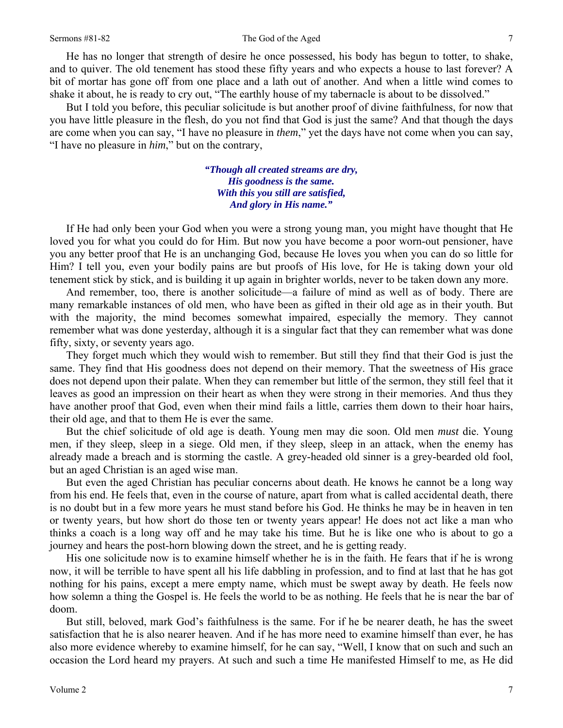#### Sermons #81-82 The God of the Aged

He has no longer that strength of desire he once possessed, his body has begun to totter, to shake, and to quiver. The old tenement has stood these fifty years and who expects a house to last forever? A bit of mortar has gone off from one place and a lath out of another. And when a little wind comes to shake it about, he is ready to cry out, "The earthly house of my tabernacle is about to be dissolved."

But I told you before, this peculiar solicitude is but another proof of divine faithfulness, for now that you have little pleasure in the flesh, do you not find that God is just the same? And that though the days are come when you can say, "I have no pleasure in *them*," yet the days have not come when you can say, "I have no pleasure in *him*," but on the contrary,

> *"Though all created streams are dry, His goodness is the same. With this you still are satisfied, And glory in His name."*

If He had only been your God when you were a strong young man, you might have thought that He loved you for what you could do for Him. But now you have become a poor worn-out pensioner, have you any better proof that He is an unchanging God, because He loves you when you can do so little for Him? I tell you, even your bodily pains are but proofs of His love, for He is taking down your old tenement stick by stick, and is building it up again in brighter worlds, never to be taken down any more.

And remember, too, there is another solicitude—a failure of mind as well as of body. There are many remarkable instances of old men, who have been as gifted in their old age as in their youth. But with the majority, the mind becomes somewhat impaired, especially the memory. They cannot remember what was done yesterday, although it is a singular fact that they can remember what was done fifty, sixty, or seventy years ago.

They forget much which they would wish to remember. But still they find that their God is just the same. They find that His goodness does not depend on their memory. That the sweetness of His grace does not depend upon their palate. When they can remember but little of the sermon, they still feel that it leaves as good an impression on their heart as when they were strong in their memories. And thus they have another proof that God, even when their mind fails a little, carries them down to their hoar hairs, their old age, and that to them He is ever the same.

But the chief solicitude of old age is death. Young men may die soon. Old men *must* die. Young men, if they sleep, sleep in a siege. Old men, if they sleep, sleep in an attack, when the enemy has already made a breach and is storming the castle. A grey-headed old sinner is a grey-bearded old fool, but an aged Christian is an aged wise man.

But even the aged Christian has peculiar concerns about death. He knows he cannot be a long way from his end. He feels that, even in the course of nature, apart from what is called accidental death, there is no doubt but in a few more years he must stand before his God. He thinks he may be in heaven in ten or twenty years, but how short do those ten or twenty years appear! He does not act like a man who thinks a coach is a long way off and he may take his time. But he is like one who is about to go a journey and hears the post-horn blowing down the street, and he is getting ready.

His one solicitude now is to examine himself whether he is in the faith. He fears that if he is wrong now, it will be terrible to have spent all his life dabbling in profession, and to find at last that he has got nothing for his pains, except a mere empty name, which must be swept away by death. He feels now how solemn a thing the Gospel is. He feels the world to be as nothing. He feels that he is near the bar of doom.

But still, beloved, mark God's faithfulness is the same. For if he be nearer death, he has the sweet satisfaction that he is also nearer heaven. And if he has more need to examine himself than ever, he has also more evidence whereby to examine himself, for he can say, "Well, I know that on such and such an occasion the Lord heard my prayers. At such and such a time He manifested Himself to me, as He did

7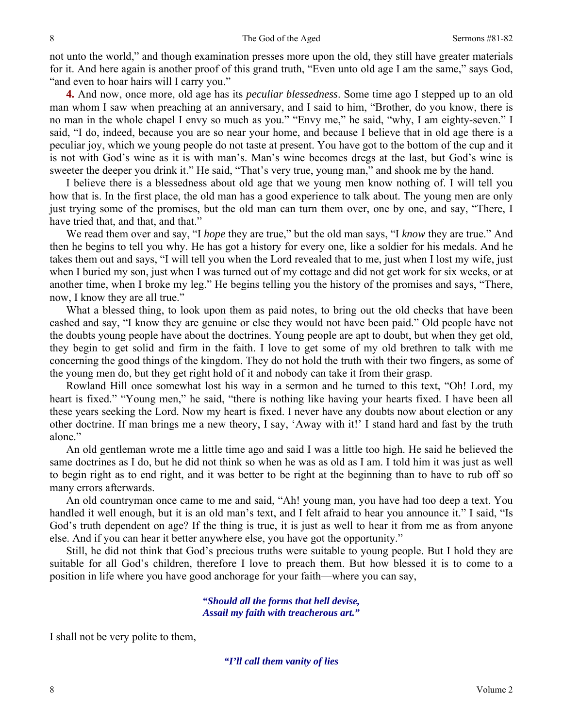not unto the world," and though examination presses more upon the old, they still have greater materials for it. And here again is another proof of this grand truth, "Even unto old age I am the same," says God, "and even to hoar hairs will I carry you."

**4.** And now, once more, old age has its *peculiar blessedness*. Some time ago I stepped up to an old man whom I saw when preaching at an anniversary, and I said to him, "Brother, do you know, there is no man in the whole chapel I envy so much as you." "Envy me," he said, "why, I am eighty-seven." I said, "I do, indeed, because you are so near your home, and because I believe that in old age there is a peculiar joy, which we young people do not taste at present. You have got to the bottom of the cup and it is not with God's wine as it is with man's. Man's wine becomes dregs at the last, but God's wine is sweeter the deeper you drink it." He said, "That's very true, young man," and shook me by the hand.

I believe there is a blessedness about old age that we young men know nothing of. I will tell you how that is. In the first place, the old man has a good experience to talk about. The young men are only just trying some of the promises, but the old man can turn them over, one by one, and say, "There, I have tried that, and that, and that."

We read them over and say, "I *hope* they are true," but the old man says, "I *know* they are true." And then he begins to tell you why. He has got a history for every one, like a soldier for his medals. And he takes them out and says, "I will tell you when the Lord revealed that to me, just when I lost my wife, just when I buried my son, just when I was turned out of my cottage and did not get work for six weeks, or at another time, when I broke my leg." He begins telling you the history of the promises and says, "There, now, I know they are all true."

What a blessed thing, to look upon them as paid notes, to bring out the old checks that have been cashed and say, "I know they are genuine or else they would not have been paid." Old people have not the doubts young people have about the doctrines. Young people are apt to doubt, but when they get old, they begin to get solid and firm in the faith. I love to get some of my old brethren to talk with me concerning the good things of the kingdom. They do not hold the truth with their two fingers, as some of the young men do, but they get right hold of it and nobody can take it from their grasp.

Rowland Hill once somewhat lost his way in a sermon and he turned to this text, "Oh! Lord, my heart is fixed." "Young men," he said, "there is nothing like having your hearts fixed. I have been all these years seeking the Lord. Now my heart is fixed. I never have any doubts now about election or any other doctrine. If man brings me a new theory, I say, 'Away with it!' I stand hard and fast by the truth alone."

An old gentleman wrote me a little time ago and said I was a little too high. He said he believed the same doctrines as I do, but he did not think so when he was as old as I am. I told him it was just as well to begin right as to end right, and it was better to be right at the beginning than to have to rub off so many errors afterwards.

An old countryman once came to me and said, "Ah! young man, you have had too deep a text. You handled it well enough, but it is an old man's text, and I felt afraid to hear you announce it." I said, "Is God's truth dependent on age? If the thing is true, it is just as well to hear it from me as from anyone else. And if you can hear it better anywhere else, you have got the opportunity."

Still, he did not think that God's precious truths were suitable to young people. But I hold they are suitable for all God's children, therefore I love to preach them. But how blessed it is to come to a position in life where you have good anchorage for your faith—where you can say,

> *"Should all the forms that hell devise, Assail my faith with treacherous art."*

I shall not be very polite to them,

*"I'll call them vanity of lies*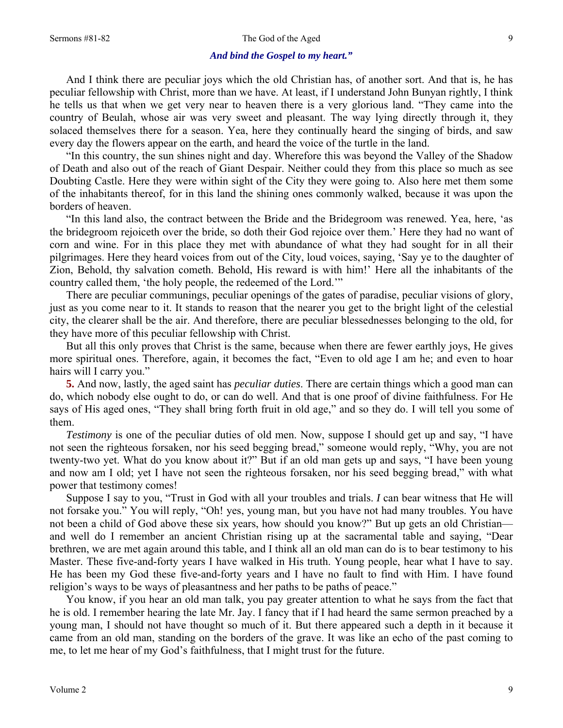#### Sermons #81-82 The God of the Aged

### *And bind the Gospel to my heart."*

And I think there are peculiar joys which the old Christian has, of another sort. And that is, he has peculiar fellowship with Christ, more than we have. At least, if I understand John Bunyan rightly, I think he tells us that when we get very near to heaven there is a very glorious land. "They came into the country of Beulah, whose air was very sweet and pleasant. The way lying directly through it, they solaced themselves there for a season. Yea, here they continually heard the singing of birds, and saw every day the flowers appear on the earth, and heard the voice of the turtle in the land.

"In this country, the sun shines night and day. Wherefore this was beyond the Valley of the Shadow of Death and also out of the reach of Giant Despair. Neither could they from this place so much as see Doubting Castle. Here they were within sight of the City they were going to. Also here met them some of the inhabitants thereof, for in this land the shining ones commonly walked, because it was upon the borders of heaven.

"In this land also, the contract between the Bride and the Bridegroom was renewed. Yea, here, 'as the bridegroom rejoiceth over the bride, so doth their God rejoice over them.' Here they had no want of corn and wine. For in this place they met with abundance of what they had sought for in all their pilgrimages. Here they heard voices from out of the City, loud voices, saying, 'Say ye to the daughter of Zion, Behold, thy salvation cometh. Behold, His reward is with him!' Here all the inhabitants of the country called them, 'the holy people, the redeemed of the Lord.'"

There are peculiar communings, peculiar openings of the gates of paradise, peculiar visions of glory, just as you come near to it. It stands to reason that the nearer you get to the bright light of the celestial city, the clearer shall be the air. And therefore, there are peculiar blessednesses belonging to the old, for they have more of this peculiar fellowship with Christ.

But all this only proves that Christ is the same, because when there are fewer earthly joys, He gives more spiritual ones. Therefore, again, it becomes the fact, "Even to old age I am he; and even to hoar hairs will I carry you."

**5.** And now, lastly, the aged saint has *peculiar duties*. There are certain things which a good man can do, which nobody else ought to do, or can do well. And that is one proof of divine faithfulness. For He says of His aged ones, "They shall bring forth fruit in old age," and so they do. I will tell you some of them.

*Testimony* is one of the peculiar duties of old men. Now, suppose I should get up and say, "I have not seen the righteous forsaken, nor his seed begging bread," someone would reply, "Why, you are not twenty-two yet. What do you know about it?" But if an old man gets up and says, "I have been young and now am I old; yet I have not seen the righteous forsaken, nor his seed begging bread," with what power that testimony comes!

Suppose I say to you, "Trust in God with all your troubles and trials. *I* can bear witness that He will not forsake you." You will reply, "Oh! yes, young man, but you have not had many troubles. You have not been a child of God above these six years, how should you know?" But up gets an old Christian and well do I remember an ancient Christian rising up at the sacramental table and saying, "Dear brethren, we are met again around this table, and I think all an old man can do is to bear testimony to his Master. These five-and-forty years I have walked in His truth. Young people, hear what I have to say. He has been my God these five-and-forty years and I have no fault to find with Him. I have found religion's ways to be ways of pleasantness and her paths to be paths of peace."

You know, if you hear an old man talk, you pay greater attention to what he says from the fact that he is old. I remember hearing the late Mr. Jay. I fancy that if I had heard the same sermon preached by a young man, I should not have thought so much of it. But there appeared such a depth in it because it came from an old man, standing on the borders of the grave. It was like an echo of the past coming to me, to let me hear of my God's faithfulness, that I might trust for the future.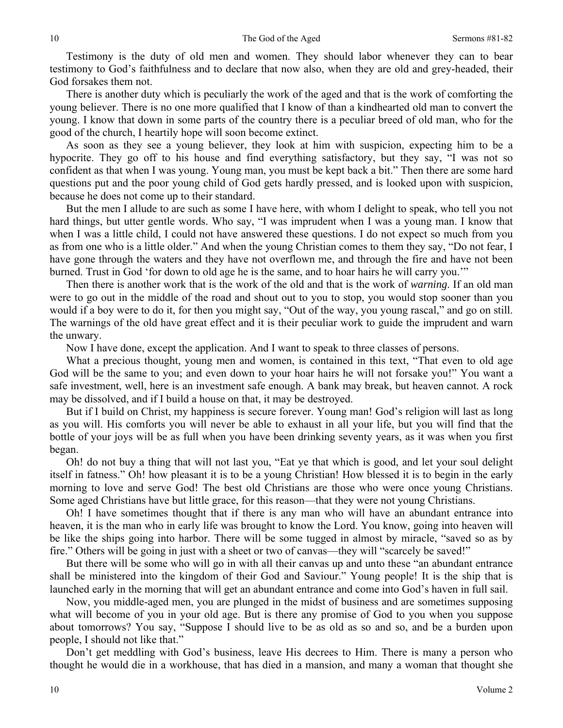Testimony is the duty of old men and women. They should labor whenever they can to bear testimony to God's faithfulness and to declare that now also, when they are old and grey-headed, their God forsakes them not.

There is another duty which is peculiarly the work of the aged and that is the work of comforting the young believer. There is no one more qualified that I know of than a kindhearted old man to convert the young. I know that down in some parts of the country there is a peculiar breed of old man, who for the good of the church, I heartily hope will soon become extinct.

As soon as they see a young believer, they look at him with suspicion, expecting him to be a hypocrite. They go off to his house and find everything satisfactory, but they say, "I was not so confident as that when I was young. Young man, you must be kept back a bit." Then there are some hard questions put and the poor young child of God gets hardly pressed, and is looked upon with suspicion, because he does not come up to their standard.

But the men I allude to are such as some I have here, with whom I delight to speak, who tell you not hard things, but utter gentle words. Who say, "I was imprudent when I was a young man. I know that when I was a little child, I could not have answered these questions. I do not expect so much from you as from one who is a little older." And when the young Christian comes to them they say, "Do not fear, I have gone through the waters and they have not overflown me, and through the fire and have not been burned. Trust in God 'for down to old age he is the same, and to hoar hairs he will carry you.'"

Then there is another work that is the work of the old and that is the work of *warning*. If an old man were to go out in the middle of the road and shout out to you to stop, you would stop sooner than you would if a boy were to do it, for then you might say, "Out of the way, you young rascal," and go on still. The warnings of the old have great effect and it is their peculiar work to guide the imprudent and warn the unwary.

Now I have done, except the application. And I want to speak to three classes of persons.

What a precious thought, young men and women, is contained in this text, "That even to old age God will be the same to you; and even down to your hoar hairs he will not forsake you!" You want a safe investment, well, here is an investment safe enough. A bank may break, but heaven cannot. A rock may be dissolved, and if I build a house on that, it may be destroyed.

But if I build on Christ, my happiness is secure forever. Young man! God's religion will last as long as you will. His comforts you will never be able to exhaust in all your life, but you will find that the bottle of your joys will be as full when you have been drinking seventy years, as it was when you first began.

Oh! do not buy a thing that will not last you, "Eat ye that which is good, and let your soul delight itself in fatness." Oh! how pleasant it is to be a young Christian! How blessed it is to begin in the early morning to love and serve God! The best old Christians are those who were once young Christians. Some aged Christians have but little grace, for this reason—that they were not young Christians.

Oh! I have sometimes thought that if there is any man who will have an abundant entrance into heaven, it is the man who in early life was brought to know the Lord. You know, going into heaven will be like the ships going into harbor. There will be some tugged in almost by miracle, "saved so as by fire." Others will be going in just with a sheet or two of canvas—they will "scarcely be saved!"

But there will be some who will go in with all their canvas up and unto these "an abundant entrance shall be ministered into the kingdom of their God and Saviour." Young people! It is the ship that is launched early in the morning that will get an abundant entrance and come into God's haven in full sail.

Now, you middle-aged men, you are plunged in the midst of business and are sometimes supposing what will become of you in your old age. But is there any promise of God to you when you suppose about tomorrows? You say, "Suppose I should live to be as old as so and so, and be a burden upon people, I should not like that."

Don't get meddling with God's business, leave His decrees to Him. There is many a person who thought he would die in a workhouse, that has died in a mansion, and many a woman that thought she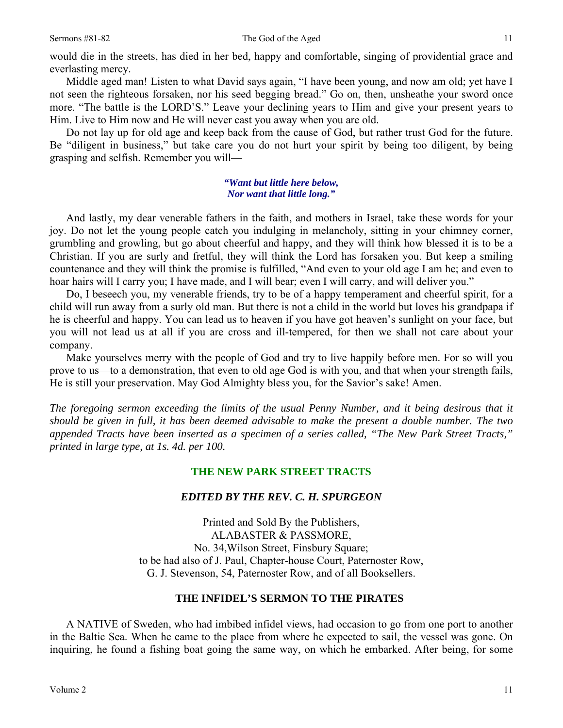would die in the streets, has died in her bed, happy and comfortable, singing of providential grace and everlasting mercy.

Middle aged man! Listen to what David says again, "I have been young, and now am old; yet have I not seen the righteous forsaken, nor his seed begging bread." Go on, then, unsheathe your sword once more. "The battle is the LORD'S." Leave your declining years to Him and give your present years to Him. Live to Him now and He will never cast you away when you are old.

Do not lay up for old age and keep back from the cause of God, but rather trust God for the future. Be "diligent in business," but take care you do not hurt your spirit by being too diligent, by being grasping and selfish. Remember you will—

## *"Want but little here below, Nor want that little long."*

And lastly, my dear venerable fathers in the faith, and mothers in Israel, take these words for your joy. Do not let the young people catch you indulging in melancholy, sitting in your chimney corner, grumbling and growling, but go about cheerful and happy, and they will think how blessed it is to be a Christian. If you are surly and fretful, they will think the Lord has forsaken you. But keep a smiling countenance and they will think the promise is fulfilled, "And even to your old age I am he; and even to hoar hairs will I carry you; I have made, and I will bear; even I will carry, and will deliver you."

Do, I beseech you, my venerable friends, try to be of a happy temperament and cheerful spirit, for a child will run away from a surly old man. But there is not a child in the world but loves his grandpapa if he is cheerful and happy. You can lead us to heaven if you have got heaven's sunlight on your face, but you will not lead us at all if you are cross and ill-tempered, for then we shall not care about your company.

Make yourselves merry with the people of God and try to live happily before men. For so will you prove to us—to a demonstration, that even to old age God is with you, and that when your strength fails, He is still your preservation. May God Almighty bless you, for the Savior's sake! Amen.

*The foregoing sermon exceeding the limits of the usual Penny Number, and it being desirous that it should be given in full, it has been deemed advisable to make the present a double number. The two appended Tracts have been inserted as a specimen of a series called, "The New Park Street Tracts," printed in large type, at 1s. 4d. per 100.* 

## **THE NEW PARK STREET TRACTS**

## *EDITED BY THE REV. C. H. SPURGEON*

Printed and Sold By the Publishers, ALABASTER & PASSMORE, No. 34,Wilson Street, Finsbury Square; to be had also of J. Paul, Chapter-house Court, Paternoster Row, G. J. Stevenson, 54, Paternoster Row, and of all Booksellers.

## **THE INFIDEL'S SERMON TO THE PIRATES**

A NATIVE of Sweden, who had imbibed infidel views, had occasion to go from one port to another in the Baltic Sea. When he came to the place from where he expected to sail, the vessel was gone. On inquiring, he found a fishing boat going the same way, on which he embarked. After being, for some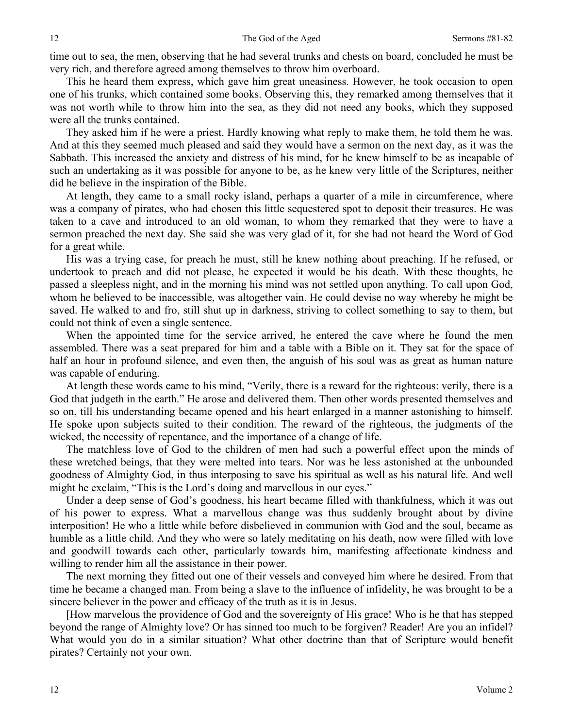time out to sea, the men, observing that he had several trunks and chests on board, concluded he must be very rich, and therefore agreed among themselves to throw him overboard.

This he heard them express, which gave him great uneasiness. However, he took occasion to open one of his trunks, which contained some books. Observing this, they remarked among themselves that it was not worth while to throw him into the sea, as they did not need any books, which they supposed were all the trunks contained.

They asked him if he were a priest. Hardly knowing what reply to make them, he told them he was. And at this they seemed much pleased and said they would have a sermon on the next day, as it was the Sabbath. This increased the anxiety and distress of his mind, for he knew himself to be as incapable of such an undertaking as it was possible for anyone to be, as he knew very little of the Scriptures, neither did he believe in the inspiration of the Bible.

At length, they came to a small rocky island, perhaps a quarter of a mile in circumference, where was a company of pirates, who had chosen this little sequestered spot to deposit their treasures. He was taken to a cave and introduced to an old woman, to whom they remarked that they were to have a sermon preached the next day. She said she was very glad of it, for she had not heard the Word of God for a great while.

His was a trying case, for preach he must, still he knew nothing about preaching. If he refused, or undertook to preach and did not please, he expected it would be his death. With these thoughts, he passed a sleepless night, and in the morning his mind was not settled upon anything. To call upon God, whom he believed to be inaccessible, was altogether vain. He could devise no way whereby he might be saved. He walked to and fro, still shut up in darkness, striving to collect something to say to them, but could not think of even a single sentence.

When the appointed time for the service arrived, he entered the cave where he found the men assembled. There was a seat prepared for him and a table with a Bible on it. They sat for the space of half an hour in profound silence, and even then, the anguish of his soul was as great as human nature was capable of enduring.

At length these words came to his mind, "Verily, there is a reward for the righteous: verily, there is a God that judgeth in the earth." He arose and delivered them. Then other words presented themselves and so on, till his understanding became opened and his heart enlarged in a manner astonishing to himself. He spoke upon subjects suited to their condition. The reward of the righteous, the judgments of the wicked, the necessity of repentance, and the importance of a change of life.

The matchless love of God to the children of men had such a powerful effect upon the minds of these wretched beings, that they were melted into tears. Nor was he less astonished at the unbounded goodness of Almighty God, in thus interposing to save his spiritual as well as his natural life. And well might he exclaim, "This is the Lord's doing and marvellous in our eyes."

Under a deep sense of God's goodness, his heart became filled with thankfulness, which it was out of his power to express. What a marvellous change was thus suddenly brought about by divine interposition! He who a little while before disbelieved in communion with God and the soul, became as humble as a little child. And they who were so lately meditating on his death, now were filled with love and goodwill towards each other, particularly towards him, manifesting affectionate kindness and willing to render him all the assistance in their power.

The next morning they fitted out one of their vessels and conveyed him where he desired. From that time he became a changed man. From being a slave to the influence of infidelity, he was brought to be a sincere believer in the power and efficacy of the truth as it is in Jesus.

[How marvelous the providence of God and the sovereignty of His grace! Who is he that has stepped beyond the range of Almighty love? Or has sinned too much to be forgiven? Reader! Are you an infidel? What would you do in a similar situation? What other doctrine than that of Scripture would benefit pirates? Certainly not your own.

12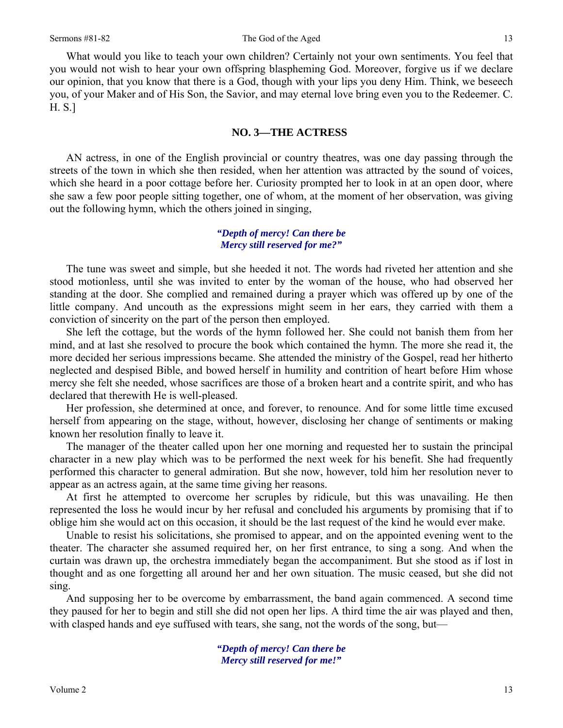What would you like to teach your own children? Certainly not your own sentiments. You feel that you would not wish to hear your own offspring blaspheming God. Moreover, forgive us if we declare our opinion, that you know that there is a God, though with your lips you deny Him. Think, we beseech you, of your Maker and of His Son, the Savior, and may eternal love bring even you to the Redeemer. C. H. S.]

## **NO. 3—THE ACTRESS**

AN actress, in one of the English provincial or country theatres, was one day passing through the streets of the town in which she then resided, when her attention was attracted by the sound of voices, which she heard in a poor cottage before her. Curiosity prompted her to look in at an open door, where she saw a few poor people sitting together, one of whom, at the moment of her observation, was giving out the following hymn, which the others joined in singing,

## *"Depth of mercy! Can there be Mercy still reserved for me?"*

The tune was sweet and simple, but she heeded it not. The words had riveted her attention and she stood motionless, until she was invited to enter by the woman of the house, who had observed her standing at the door. She complied and remained during a prayer which was offered up by one of the little company. And uncouth as the expressions might seem in her ears, they carried with them a conviction of sincerity on the part of the person then employed.

She left the cottage, but the words of the hymn followed her. She could not banish them from her mind, and at last she resolved to procure the book which contained the hymn. The more she read it, the more decided her serious impressions became. She attended the ministry of the Gospel, read her hitherto neglected and despised Bible, and bowed herself in humility and contrition of heart before Him whose mercy she felt she needed, whose sacrifices are those of a broken heart and a contrite spirit, and who has declared that therewith He is well-pleased.

Her profession, she determined at once, and forever, to renounce. And for some little time excused herself from appearing on the stage, without, however, disclosing her change of sentiments or making known her resolution finally to leave it.

The manager of the theater called upon her one morning and requested her to sustain the principal character in a new play which was to be performed the next week for his benefit. She had frequently performed this character to general admiration. But she now, however, told him her resolution never to appear as an actress again, at the same time giving her reasons.

At first he attempted to overcome her scruples by ridicule, but this was unavailing. He then represented the loss he would incur by her refusal and concluded his arguments by promising that if to oblige him she would act on this occasion, it should be the last request of the kind he would ever make.

Unable to resist his solicitations, she promised to appear, and on the appointed evening went to the theater. The character she assumed required her, on her first entrance, to sing a song. And when the curtain was drawn up, the orchestra immediately began the accompaniment. But she stood as if lost in thought and as one forgetting all around her and her own situation. The music ceased, but she did not sing.

And supposing her to be overcome by embarrassment, the band again commenced. A second time they paused for her to begin and still she did not open her lips. A third time the air was played and then, with clasped hands and eye suffused with tears, she sang, not the words of the song, but—

> *"Depth of mercy! Can there be Mercy still reserved for me!"*